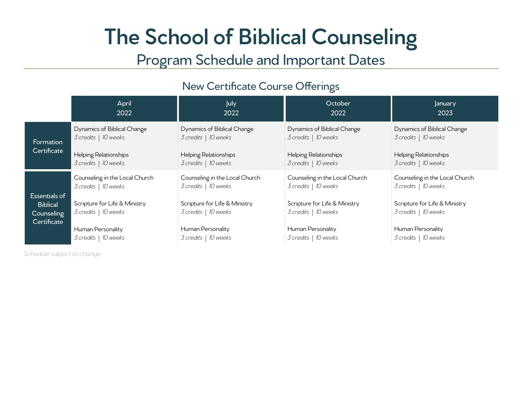# **The School of Biblical Counseling**

## Program Schedule and Important Dates

#### New Certificate Course Offerings

|                                                               | April<br>2022                                          | July<br>2022                                           | October<br>2022                                        | January<br>2023                                        |
|---------------------------------------------------------------|--------------------------------------------------------|--------------------------------------------------------|--------------------------------------------------------|--------------------------------------------------------|
| Formation<br>Certificate                                      | Dynamics of Biblical Change<br>3 credits   10 weeks    | Dynamics of Biblical Change<br>3 credits   10 weeks    | Dynamics of Biblical Change<br>3 credits   10 weeks    | Dynamics of Biblical Change<br>3 credits   10 weeks    |
|                                                               | Helping Relationships<br>3 credits   10 weeks          | Helping Relationships<br>3 credits   10 weeks          | Helping Relationships<br>3 credits   10 weeks          | Helping Relationships<br>3 credits   10 weeks          |
| Essentials of<br><b>Biblical</b><br>Counseling<br>Certificate | Counseling in the Local Church<br>3 credits   10 weeks | Counseling in the Local Church<br>3 credits   10 weeks | Counseling in the Local Church<br>3 credits   10 weeks | Counseling in the Local Church<br>3 credits   10 weeks |
|                                                               | Scripture for Life & Ministry<br>3 credits   10 weeks  | Scripture for Life & Ministry<br>3 credits   10 weeks  | Scripture for Life & Ministry<br>3 credits   10 weeks  | Scripture for Life & Ministry<br>3 credits   10 weeks  |
|                                                               | Human Personality<br>3 credits   10 weeks              | Human Personality<br>3 credits   10 weeks              | Human Personality<br>3 credits   10 weeks              | Human Personality<br>3 credits   10 weeks              |

*Schedule subject to change*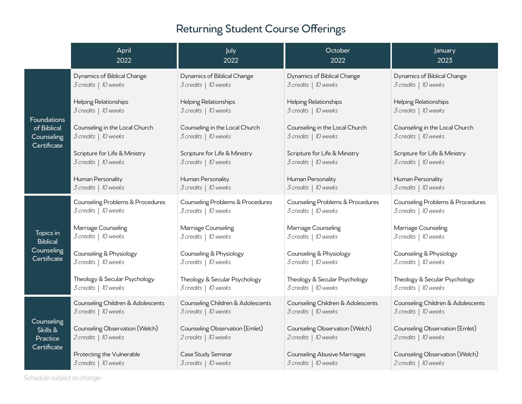### Returning Student Course Offerings

|                                                           | April<br>2022                                             | July<br>2022                                              | October<br>2022                                             | January<br>2023                                           |
|-----------------------------------------------------------|-----------------------------------------------------------|-----------------------------------------------------------|-------------------------------------------------------------|-----------------------------------------------------------|
| Foundations<br>of Biblical<br>Counseling<br>Certificate   | Dynamics of Biblical Change<br>3 credits   10 weeks       | Dynamics of Biblical Change<br>3 credits   10 weeks       | Dynamics of Biblical Change<br>3 credits   10 weeks         | Dynamics of Biblical Change<br>3 credits   10 weeks       |
|                                                           | Helping Relationships<br>3 credits   10 weeks             | Helping Relationships<br>3 credits   10 weeks             | Helping Relationships<br>3 credits   10 weeks               | Helping Relationships<br>3 credits   10 weeks             |
|                                                           | Counseling in the Local Church<br>3 credits   10 weeks    | Counseling in the Local Church<br>3 credits   10 weeks    | Counseling in the Local Church<br>3 credits   10 weeks      | Counseling in the Local Church<br>3 credits   10 weeks    |
|                                                           | Scripture for Life & Ministry<br>3 credits   10 weeks     | Scripture for Life & Ministry<br>3 credits   10 weeks     | Scripture for Life & Ministry<br>3 credits   10 weeks       | Scripture for Life & Ministry<br>3 credits   10 weeks     |
|                                                           | Human Personality<br>3 credits   10 weeks                 | Human Personality<br>3 credits   10 weeks                 | Human Personality<br>3 credits   10 weeks                   | Human Personality<br>3 credits   10 weeks                 |
| Topics in<br><b>Biblical</b><br>Counseling<br>Certificate | Counseling Problems & Procedures<br>3 credits   10 weeks  | Counseling Problems & Procedures<br>3 credits   10 weeks  | Counseling Problems & Procedures<br>3 credits   10 weeks    | Counseling Problems & Procedures<br>3 credits   10 weeks  |
|                                                           | Marriage Counseling<br>3 credits   10 weeks               | Marriage Counseling<br>3 credits   10 weeks               | Marriage Counseling<br>3 credits   10 weeks                 | Marriage Counseling<br>3 credits   10 weeks               |
|                                                           | Counseling & Physiology<br>3 credits   10 weeks           | Counseling & Physiology<br>3 credits   10 weeks           | Counseling & Physiology<br>3 credits   10 weeks             | Counseling & Physiology<br>3 credits   10 weeks           |
|                                                           | Theology & Secular Psychology<br>3 credits   10 weeks     | Theology & Secular Psychology<br>3 credits   10 weeks     | Theology & Secular Psychology<br>3 credits   10 weeks       | Theology & Secular Psychology<br>3 credits   10 weeks     |
| Counseling<br>Skills &<br>Practice<br>Certificate         | Counseling Children & Adolescents<br>3 credits   10 weeks | Counseling Children & Adolescents<br>3 credits   10 weeks | Counseling Children & Adolescents<br>3 credits   10 weeks   | Counseling Children & Adolescents<br>3 credits   10 weeks |
|                                                           | Counseling Observation (Welch)<br>2 credits   10 weeks    | Counseling Observation (Emlet)<br>2 credits   10 weeks    | Counseling Observation (Welch)<br>2 credits   10 weeks      | Counseling Observation (Emlet)<br>2 credits   10 weeks    |
|                                                           | Protecting the Vulnerable<br>3 credits   10 weeks         | Case Study Seminar<br>3 credits   10 weeks                | <b>Counseling Abusive Marriages</b><br>3 credits   10 weeks | Counseling Observation (Welch)<br>2 credits   10 weeks    |